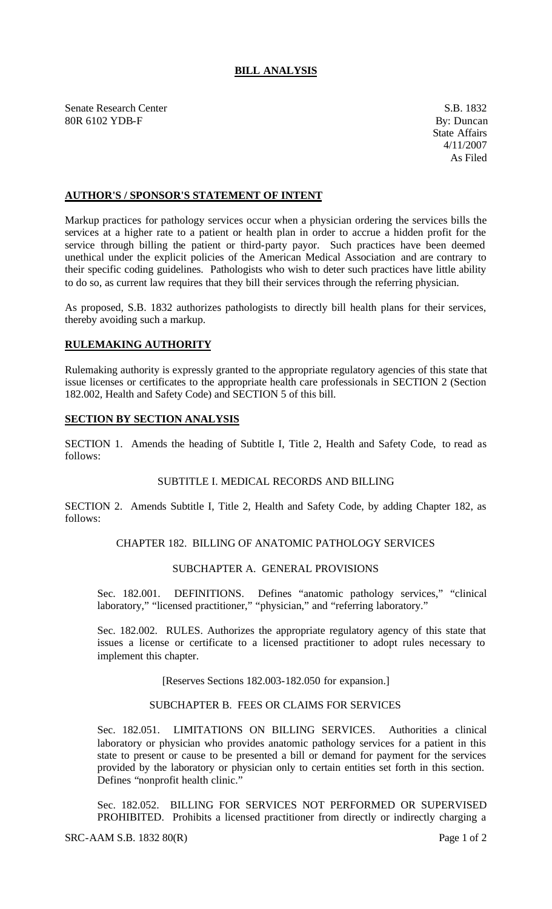## **BILL ANALYSIS**

Senate Research Center S.B. 1832 80R 6102 YDB-F By: Duncan

### **AUTHOR'S / SPONSOR'S STATEMENT OF INTENT**

Markup practices for pathology services occur when a physician ordering the services bills the services at a higher rate to a patient or health plan in order to accrue a hidden profit for the service through billing the patient or third-party payor. Such practices have been deemed unethical under the explicit policies of the American Medical Association and are contrary to their specific coding guidelines. Pathologists who wish to deter such practices have little ability to do so, as current law requires that they bill their services through the referring physician.

As proposed, S.B. 1832 authorizes pathologists to directly bill health plans for their services, thereby avoiding such a markup.

### **RULEMAKING AUTHORITY**

Rulemaking authority is expressly granted to the appropriate regulatory agencies of this state that issue licenses or certificates to the appropriate health care professionals in SECTION 2 (Section 182.002, Health and Safety Code) and SECTION 5 of this bill.

### **SECTION BY SECTION ANALYSIS**

SECTION 1. Amends the heading of Subtitle I, Title 2, Health and Safety Code, to read as follows:

# SUBTITLE I. MEDICAL RECORDS AND BILLING

SECTION 2. Amends Subtitle I, Title 2, Health and Safety Code, by adding Chapter 182, as follows:

### CHAPTER 182. BILLING OF ANATOMIC PATHOLOGY SERVICES

## SUBCHAPTER A. GENERAL PROVISIONS

Sec. 182.001. DEFINITIONS. Defines "anatomic pathology services," "clinical laboratory," "licensed practitioner," "physician," and "referring laboratory."

Sec. 182.002. RULES. Authorizes the appropriate regulatory agency of this state that issues a license or certificate to a licensed practitioner to adopt rules necessary to implement this chapter.

[Reserves Sections 182.003-182.050 for expansion.]

## SUBCHAPTER B. FEES OR CLAIMS FOR SERVICES

Sec. 182.051. LIMITATIONS ON BILLING SERVICES. Authorities a clinical laboratory or physician who provides anatomic pathology services for a patient in this state to present or cause to be presented a bill or demand for payment for the services provided by the laboratory or physician only to certain entities set forth in this section. Defines "nonprofit health clinic."

Sec. 182.052. BILLING FOR SERVICES NOT PERFORMED OR SUPERVISED PROHIBITED. Prohibits a licensed practitioner from directly or indirectly charging a